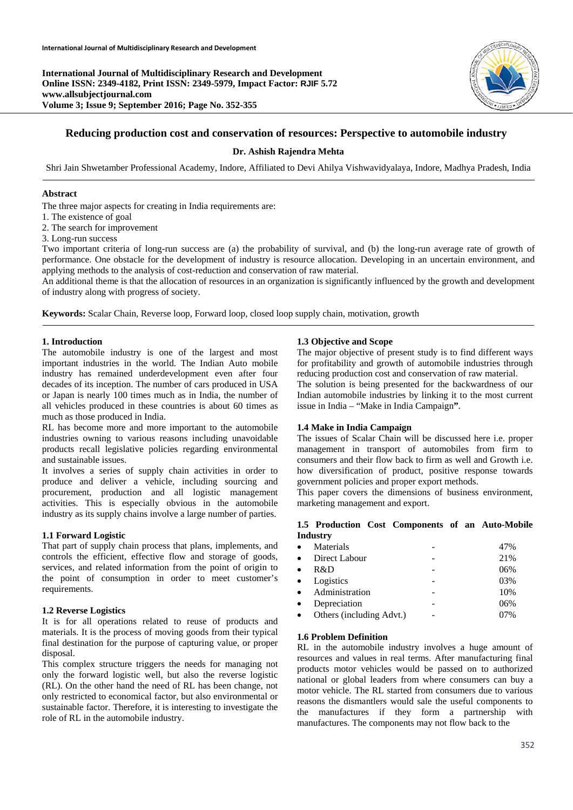

# **Reducing production cost and conservation of resources: Perspective to automobile industry**

# **Dr. Ashish Rajendra Mehta**

Shri Jain Shwetamber Professional Academy, Indore, Affiliated to Devi Ahilya Vishwavidyalaya, Indore, Madhya Pradesh, India

## **Abstract**

The three major aspects for creating in India requirements are:

- 1. The existence of goal
- 2. The search for improvement
- 3. Long-run success

Two important criteria of long-run success are (a) the probability of survival, and (b) the long-run average rate of growth of performance. One obstacle for the development of industry is resource allocation. Developing in an uncertain environment, and applying methods to the analysis of cost-reduction and conservation of raw material.

An additional theme is that the allocation of resources in an organization is significantly influenced by the growth and development of industry along with progress of society.

**Keywords:** Scalar Chain, Reverse loop, Forward loop, closed loop supply chain, motivation, growth

## **1. Introduction**

The automobile industry is one of the largest and most important industries in the world. The Indian Auto mobile industry has remained underdevelopment even after four decades of its inception. The number of cars produced in USA or Japan is nearly 100 times much as in India, the number of all vehicles produced in these countries is about 60 times as much as those produced in India.

RL has become more and more important to the automobile industries owning to various reasons including unavoidable products recall legislative policies regarding environmental and sustainable issues.

It involves a series of supply chain activities in order to produce and deliver a vehicle, including sourcing and procurement, production and all logistic management activities. This is especially obvious in the automobile industry as its supply chains involve a large number of parties.

#### **1.1 Forward Logistic**

That part of supply chain process that plans, implements, and controls the efficient, effective flow and storage of goods, services, and related information from the point of origin to the point of consumption in order to meet customer's requirements.

## **1.2 Reverse Logistics**

It is for all operations related to reuse of products and materials. It is the process of moving goods from their typical final destination for the purpose of capturing value, or proper disposal.

This complex structure triggers the needs for managing not only the forward logistic well, but also the reverse logistic (RL). On the other hand the need of RL has been change, not only restricted to economical factor, but also environmental or sustainable factor. Therefore, it is interesting to investigate the role of RL in the automobile industry.

## **1.3 Objective and Scope**

The major objective of present study is to find different ways for profitability and growth of automobile industries through reducing production cost and conservation of raw material.

The solution is being presented for the backwardness of our Indian automobile industries by linking it to the most current issue in India – "Make in India Campaign**"**.

## **1.4 Make in India Campaign**

The issues of Scalar Chain will be discussed here i.e. proper management in transport of automobiles from firm to consumers and their flow back to firm as well and Growth i.e. how diversification of product, positive response towards government policies and proper export methods.

This paper covers the dimensions of business environment, marketing management and export.

## **1.5 Production Cost Components of an Auto-Mobile Industry**

| $\bullet$ | Materials                | 47% |
|-----------|--------------------------|-----|
| $\bullet$ | Direct Labour            | 21% |
| $\bullet$ | R&D                      | 06% |
|           | • Logistics              | 03% |
|           | • Administration         | 10% |
| $\bullet$ | Depreciation             | 06% |
| $\bullet$ | Others (including Advt.) | 07% |

## **1.6 Problem Definition**

RL in the automobile industry involves a huge amount of resources and values in real terms. After manufacturing final products motor vehicles would be passed on to authorized national or global leaders from where consumers can buy a motor vehicle. The RL started from consumers due to various reasons the dismantlers would sale the useful components to the manufactures if they form a partnership with manufactures. The components may not flow back to the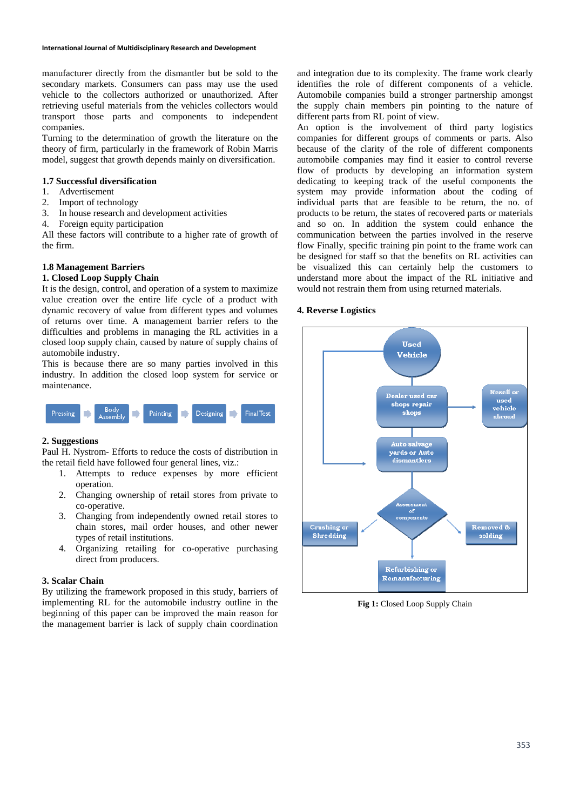manufacturer directly from the dismantler but be sold to the secondary markets. Consumers can pass may use the used vehicle to the collectors authorized or unauthorized. After retrieving useful materials from the vehicles collectors would transport those parts and components to independent companies.

Turning to the determination of growth the literature on the theory of firm, particularly in the framework of Robin Marris model, suggest that growth depends mainly on diversification.

# **1.7 Successful diversification**

- 1. Advertisement
- 2. Import of technology
- 3. In house research and development activities
- 4. Foreign equity participation

All these factors will contribute to a higher rate of growth of the firm.

# **1.8 Management Barriers**

# **1. Closed Loop Supply Chain**

It is the design, control, and operation of a system to maximize value creation over the entire life cycle of a product with dynamic recovery of value from different types and volumes of returns over time. A management barrier refers to the difficulties and problems in managing the RL activities in a closed loop supply chain, caused by nature of supply chains of automobile industry.

This is because there are so many parties involved in this industry. In addition the closed loop system for service or maintenance.



## **2. Suggestions**

Paul H. Nystrom- Efforts to reduce the costs of distribution in the retail field have followed four general lines, viz.:

- 1. Attempts to reduce expenses by more efficient operation.
- 2. Changing ownership of retail stores from private to co-operative.
- 3. Changing from independently owned retail stores to chain stores, mail order houses, and other newer types of retail institutions.
- 4. Organizing retailing for co-operative purchasing direct from producers.

## **3. Scalar Chain**

By utilizing the framework proposed in this study, barriers of implementing RL for the automobile industry outline in the beginning of this paper can be improved the main reason for the management barrier is lack of supply chain coordination and integration due to its complexity. The frame work clearly identifies the role of different components of a vehicle. Automobile companies build a stronger partnership amongst the supply chain members pin pointing to the nature of different parts from RL point of view.

An option is the involvement of third party logistics companies for different groups of comments or parts. Also because of the clarity of the role of different components automobile companies may find it easier to control reverse flow of products by developing an information system dedicating to keeping track of the useful components the system may provide information about the coding of individual parts that are feasible to be return, the no. of products to be return, the states of recovered parts or materials and so on. In addition the system could enhance the communication between the parties involved in the reserve flow Finally, specific training pin point to the frame work can be designed for staff so that the benefits on RL activities can be visualized this can certainly help the customers to understand more about the impact of the RL initiative and would not restrain them from using returned materials.

## **4. Reverse Logistics**



Fig 1: Closed Loop Supply Chain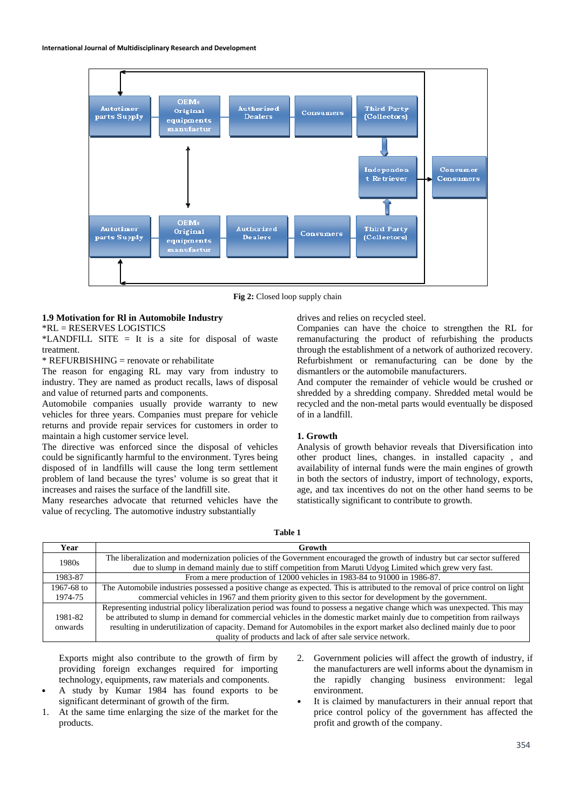

**Fig 2:** Closed loop supply chain

## **1.9 Motivation for Rl in Automobile Industry**

\*RL = RESERVES LOGISTICS

\*LANDFILL SITE  $=$  It is a site for disposal of waste treatment.

\* REFURBISHING = renovate or rehabilitate

The reason for engaging RL may vary from industry to industry. They are named as product recalls, laws of disposal and value of returned parts and components.

Automobile companies usually provide warranty to new vehicles for three years. Companies must prepare for vehicle returns and provide repair services for customers in order to maintain a high customer service level.

The directive was enforced since the disposal of vehicles could be significantly harmful to the environment. Tyres being disposed of in landfills will cause the long term settlement problem of land because the tyres' volume is so great that it increases and raises the surface of the landfill site.

Many researches advocate that returned vehicles have the value of recycling. The automotive industry substantially

drives and relies on recycled steel.

Companies can have the choice to strengthen the RL for remanufacturing the product of refurbishing the products through the establishment of a network of authorized recovery. Refurbishment or remanufacturing can be done by the dismantlers or the automobile manufacturers.

And computer the remainder of vehicle would be crushed or shredded by a shredding company. Shredded metal would be recycled and the non-metal parts would eventually be disposed of in a landfill.

# **1. Growth**

Analysis of growth behavior reveals that Diversification into other product lines, changes. in installed capacity , and availability of internal funds were the main engines of growth in both the sectors of industry, import of technology, exports, age, and tax incentives do not on the other hand seems to be statistically significant to contribute to growth.

**Table 1** 

| Year       | Growth                                                                                                                                                                                                                              |
|------------|-------------------------------------------------------------------------------------------------------------------------------------------------------------------------------------------------------------------------------------|
| 1980s      | The liberalization and modernization policies of the Government encouraged the growth of industry but car sector suffered<br>due to slump in demand mainly due to stiff competition from Maruti Udyog Limited which grew very fast. |
| 1983-87    | From a mere production of 12000 vehicles in 1983-84 to 91000 in 1986-87.                                                                                                                                                            |
| 1967-68 to | The Automobile industries possessed a positive change as expected. This is attributed to the removal of price control on light                                                                                                      |
| 1974-75    | commercial vehicles in 1967 and them priority given to this sector for development by the government.                                                                                                                               |
|            | Representing industrial policy liberalization period was found to possess a negative change which was unexpected. This may                                                                                                          |
| 1981-82    | be attributed to slump in demand for commercial vehicles in the domestic market mainly due to competition from railways                                                                                                             |
| onwards    | resulting in underutilization of capacity. Demand for Automobiles in the export market also declined mainly due to poor                                                                                                             |
|            | quality of products and lack of after sale service network.                                                                                                                                                                         |

Exports might also contribute to the growth of firm by providing foreign exchanges required for importing technology, equipments, raw materials and components.

- A study by Kumar 1984 has found exports to be significant determinant of growth of the firm.
- 1. At the same time enlarging the size of the market for the products.
- Government policies will affect the growth of industry, if the manufacturers are well informs about the dynamism in the rapidly changing business environment: legal environment.
- It is claimed by manufacturers in their annual report that price control policy of the government has affected the profit and growth of the company.